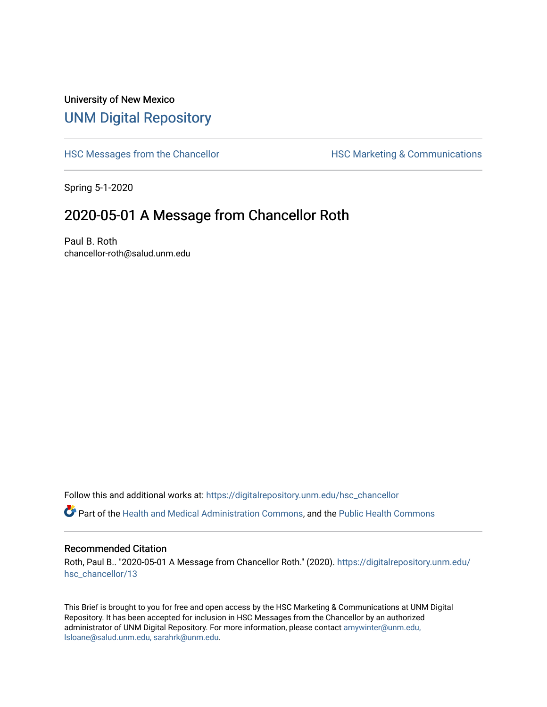## University of New Mexico [UNM Digital Repository](https://digitalrepository.unm.edu/)

[HSC Messages from the Chancellor](https://digitalrepository.unm.edu/hsc_chancellor) **HSC Marketing & Communications** 

Spring 5-1-2020

## 2020-05-01 A Message from Chancellor Roth

Paul B. Roth chancellor-roth@salud.unm.edu

Follow this and additional works at: [https://digitalrepository.unm.edu/hsc\\_chancellor](https://digitalrepository.unm.edu/hsc_chancellor?utm_source=digitalrepository.unm.edu%2Fhsc_chancellor%2F13&utm_medium=PDF&utm_campaign=PDFCoverPages) 

Part of the [Health and Medical Administration Commons](http://network.bepress.com/hgg/discipline/663?utm_source=digitalrepository.unm.edu%2Fhsc_chancellor%2F13&utm_medium=PDF&utm_campaign=PDFCoverPages), and the [Public Health Commons](http://network.bepress.com/hgg/discipline/738?utm_source=digitalrepository.unm.edu%2Fhsc_chancellor%2F13&utm_medium=PDF&utm_campaign=PDFCoverPages) 

## Recommended Citation

Roth, Paul B.. "2020-05-01 A Message from Chancellor Roth." (2020). [https://digitalrepository.unm.edu/](https://digitalrepository.unm.edu/hsc_chancellor/13?utm_source=digitalrepository.unm.edu%2Fhsc_chancellor%2F13&utm_medium=PDF&utm_campaign=PDFCoverPages) [hsc\\_chancellor/13](https://digitalrepository.unm.edu/hsc_chancellor/13?utm_source=digitalrepository.unm.edu%2Fhsc_chancellor%2F13&utm_medium=PDF&utm_campaign=PDFCoverPages) 

This Brief is brought to you for free and open access by the HSC Marketing & Communications at UNM Digital Repository. It has been accepted for inclusion in HSC Messages from the Chancellor by an authorized administrator of UNM Digital Repository. For more information, please contact [amywinter@unm.edu,](mailto:amywinter@unm.edu,%20lsloane@salud.unm.edu,%20sarahrk@unm.edu) [lsloane@salud.unm.edu, sarahrk@unm.edu.](mailto:amywinter@unm.edu,%20lsloane@salud.unm.edu,%20sarahrk@unm.edu)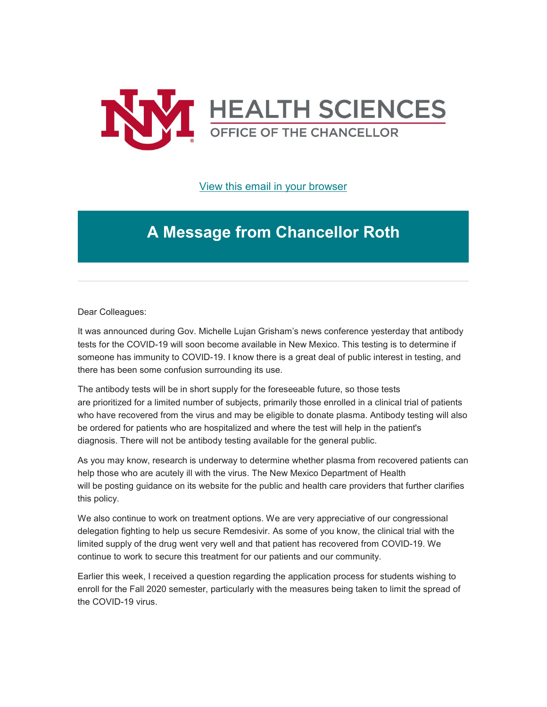

[View this email in your browser](https://mailchi.mp/863488e37479/message-from-the-chancellor-coronavirus-4403852?e=b4bbfca2c0)

## **A Message from Chancellor Roth**

Dear Colleagues:

It was announced during Gov. Michelle Lujan Grisham's news conference yesterday that antibody tests for the COVID-19 will soon become available in New Mexico. This testing is to determine if someone has immunity to COVID-19. I know there is a great deal of public interest in testing, and there has been some confusion surrounding its use.

The antibody tests will be in short supply for the foreseeable future, so those tests are prioritized for a limited number of subjects, primarily those enrolled in a clinical trial of patients who have recovered from the virus and may be eligible to donate plasma. Antibody testing will also be ordered for patients who are hospitalized and where the test will help in the patient's diagnosis. There will not be antibody testing available for the general public.

As you may know, research is underway to determine whether plasma from recovered patients can help those who are acutely ill with the virus. The New Mexico Department of Health will be posting guidance on its website for the public and health care providers that further clarifies this policy.

We also continue to work on treatment options. We are very appreciative of our congressional delegation fighting to help us secure Remdesivir. As some of you know, the clinical trial with the limited supply of the drug went very well and that patient has recovered from COVID-19. We continue to work to secure this treatment for our patients and our community.

Earlier this week, I received a question regarding the application process for students wishing to enroll for the Fall 2020 semester, particularly with the measures being taken to limit the spread of the COVID-19 virus.